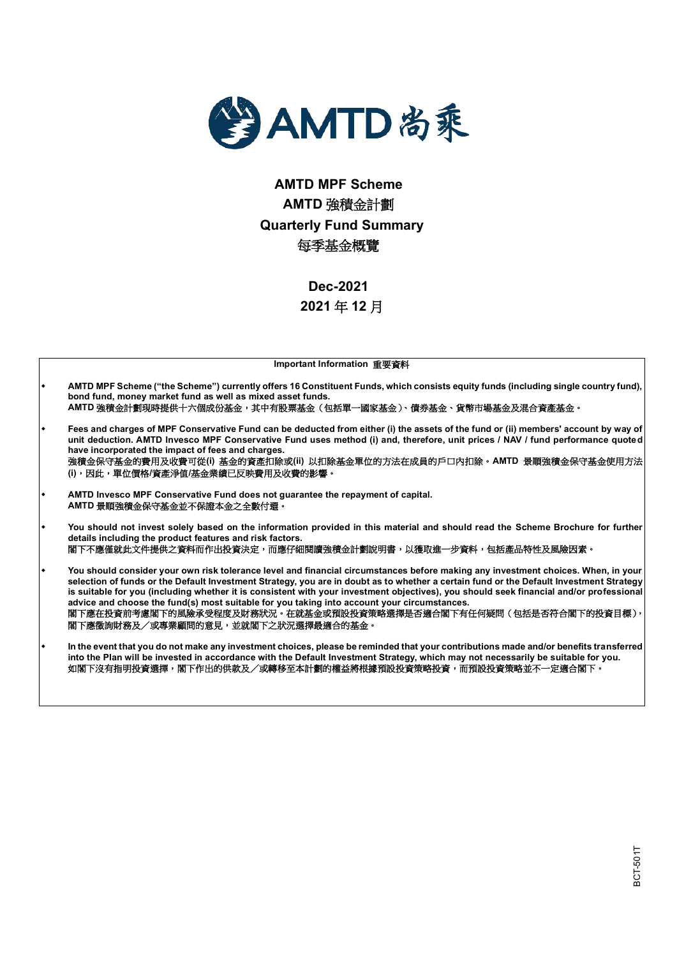

# **AMTD MPF Scheme AMTD** 強積金計劃 **Quarterly Fund Summary** 每季基金概覽

**Dec-2021 2021** 年 **12** 月

| Important Information 重要資料                                                                                                                                                                                                                                                                                                                                                                                                                                                                                                                                                                                                       |
|----------------------------------------------------------------------------------------------------------------------------------------------------------------------------------------------------------------------------------------------------------------------------------------------------------------------------------------------------------------------------------------------------------------------------------------------------------------------------------------------------------------------------------------------------------------------------------------------------------------------------------|
| AMTD MPF Scheme ("the Scheme") currently offers 16 Constituent Funds, which consists equity funds (including single country fund),<br>bond fund, money market fund as well as mixed asset funds.<br>AMTD 強積金計劃現時提供十六個成份基金,其中有股票基金(包括單一國家基金 )、債券基金、貨幣市場基金及混合資產基金。                                                                                                                                                                                                                                                                                                                                                                 |
| Fees and charges of MPF Conservative Fund can be deducted from either (i) the assets of the fund or (ii) members' account by way of<br>unit deduction. AMTD Invesco MPF Conservative Fund uses method (i) and, therefore, unit prices / NAV / fund performance quoted<br>have incorporated the impact of fees and charges.<br>強積金保守基金的費用及收費可從(i) 基金的資產扣除或(ii) 以扣除基金單位的方法在成員的戶口內扣除。AMTD 景順強積金保守基金使用方法<br>(i),因此,單位價格/資產淨值/基金業績已反映費用及收費的影響。                                                                                                                                                                                        |
| AMTD Invesco MPF Conservative Fund does not guarantee the repayment of capital.<br>AMTD 景順強積金保守基金並不保證本金之全數付還。                                                                                                                                                                                                                                                                                                                                                                                                                                                                                                                    |
| You should not invest solely based on the information provided in this material and should read the Scheme Brochure for further<br>details including the product features and risk factors.<br>閣下不應僅就此文件提供之資料而作出投資決定,而應仔細閱讀強積金計劃說明書,以獲取進一步資料,包括產品特性及風險因素。                                                                                                                                                                                                                                                                                                                                                                        |
| You should consider your own risk tolerance level and financial circumstances before making any investment choices. When, in your<br>selection of funds or the Default Investment Strategy, you are in doubt as to whether a certain fund or the Default Investment Strategy<br>is suitable for you (including whether it is consistent with your investment objectives), you should seek financial and/or professional<br>advice and choose the fund(s) most suitable for you taking into account your circumstances.<br>閣下應在投資前考慮閣下的風險承受程度及財務狀況。在就基金或預設投資策略選擇是否適合閣下有任何疑問(包括是否符合閣下的投資目標),<br>閣下應徵詢財務及/或專業顧問的意見,並就閣下之狀況選擇最適合的基金。 |
| In the event that you do not make any investment choices, please be reminded that your contributions made and/or benefits transferred<br>into the Plan will be invested in accordance with the Default Investment Strategy, which may not necessarily be suitable for you.<br>如閣下沒有指明投資選擇,閣下作出的供款及/或轉移至本計劃的權益將根據預設投資策略投資,而預設投資策略並不一定適合閣下。                                                                                                                                                                                                                                                                                        |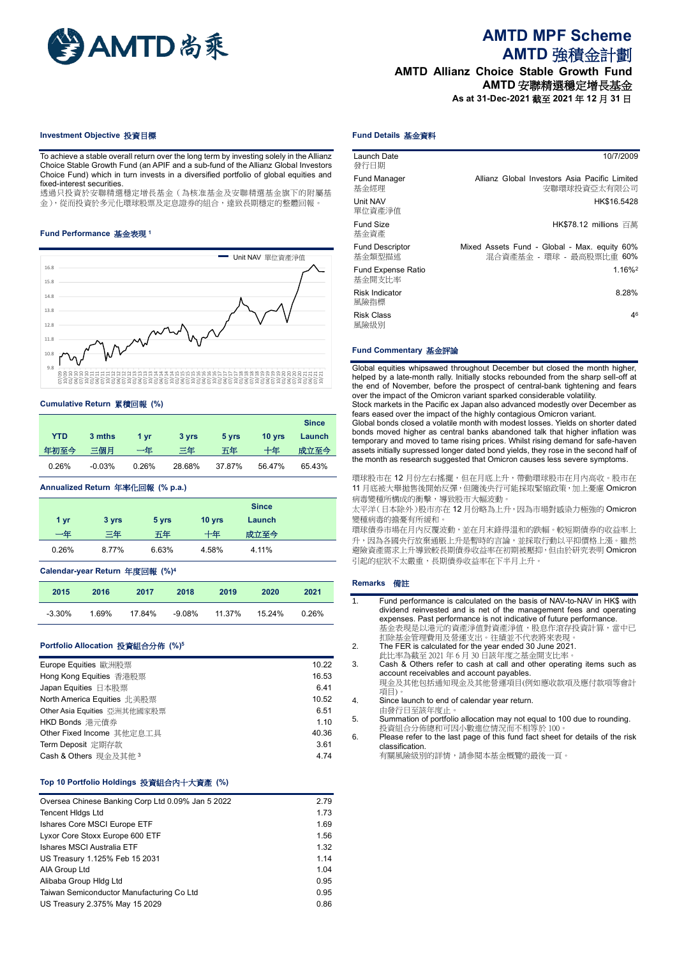

## **AMTD MPF Scheme AMTD** 強積金計劃

**AMTD Allianz Choice Stable Growth Fund AMTD** 安聯精選穩定增長基金

**As at 31-Dec-2021** 截至 **2021** 年 **12** 月 **31** 日

#### **Investment Objective** 投資目標

To achieve a stable overall return over the long term by investing solely in the Allianz Choice Stable Growth Fund (an APIF and a sub-fund of the Allianz Global Investors Choice Fund) which in turn invests in a diversified portfolio of global equities and fixed-interest securities.

透過只投資於安聯精選穩定增長基金(為核准基金及安聯精選基金旗下的附屬基 金),從而投資於多元化環球股票及定息證券的組合,達致長期穩定的整體回報。

## **Fund Performance** 基金表現 **<sup>1</sup>**



#### **Cumulative Return** 累積回報 **(%)**

|            |          |       |        |        |          | <b>Since</b> |
|------------|----------|-------|--------|--------|----------|--------------|
| <b>YTD</b> | 3 mths   | 1 vr  | 3 yrs  | 5 yrs  | $10$ vrs | Launch       |
| 年初至今       | 三個月      | 一任    | 三年     | 五年     | 十年       | 成立至今         |
| 0.26%      | $-0.03%$ | 0.26% | 28.68% | 37.87% | 56.47%   | 65.43%       |

**Annualized Return** 年率化回報 **(% p.a.)**

|       |       |       |        | <b>Since</b> |  |
|-------|-------|-------|--------|--------------|--|
| 1 yr  | 3 yrs | 5 yrs | 10 yrs | Launch       |  |
| 一年    | 三年    | 五年    | 十年     | 成立至今         |  |
| 0.26% | 8.77% | 6.63% | 4.58%  | 4.11%        |  |

#### **Calendar-year Return** 年度回報 **(%)<sup>4</sup>**

| 2015   | 2016  | 2017   | 2018   | 2019   | 2020   | 2021  |
|--------|-------|--------|--------|--------|--------|-------|
| -3.30% | 1.69% | 17.84% | -9.08% | 11.37% | 15.24% | 0.26% |

#### **Portfolio Allocation** 投資組合分佈 **(%)<sup>5</sup>**

| Europe Equities 歐洲股票             | 10.22 |
|----------------------------------|-------|
| Hong Kong Equities 香港股票          | 16.53 |
| Japan Equities 日本股票              | 6.41  |
| North America Equities 北美股票      | 10.52 |
| Other Asia Equities 亞洲其他國家股票     | 6.51  |
| HKD Bonds 港元債券                   | 1.10  |
| Other Fixed Income 其他定息工具        | 40.36 |
| Term Deposit 定期存款                | 3.61  |
| Cash & Others 現金及其他 <sup>3</sup> | 4.74  |
|                                  |       |

## **Top 10 Portfolio Holdings** 投資組合內十大資產 **(%)**

| Oversea Chinese Banking Corp Ltd 0.09% Jan 5 2022 | 2.79 |
|---------------------------------------------------|------|
| <b>Tencent Hidgs Ltd</b>                          | 1.73 |
| Ishares Core MSCI Europe ETF                      | 1.69 |
| Lyxor Core Stoxx Europe 600 ETF                   | 1.56 |
| Ishares MSCI Australia ETF                        | 1.32 |
| US Treasury 1.125% Feb 15 2031                    | 1.14 |
| AIA Group Ltd                                     | 1.04 |
| Alibaba Group Hidg Ltd                            | 0.95 |
| Taiwan Semiconductor Manufacturing Co Ltd         | 0.95 |
| US Treasury 2.375% May 15 2029                    | 0.86 |

## **Fund Details** 基金資料

| Launch Date<br>發行日期                 | 10/7/2009                                                                |
|-------------------------------------|--------------------------------------------------------------------------|
| <b>Fund Manager</b><br>基金經理         | Allianz Global Investors Asia Pacific Limited<br>安聯環球投資亞太有限公司            |
| Unit NAV<br>單位資產淨值                  | HK\$16.5428                                                              |
| <b>Fund Size</b><br>基金資產            | HK\$78.12 millions 百萬                                                    |
| <b>Fund Descriptor</b><br>基金類型描述    | Mixed Assets Fund - Global - Max. equity 60%<br>混合資產基金 - 環球 - 最高股票比重 60% |
| <b>Fund Expense Ratio</b><br>基金開支比率 | 1.16% <sup>2</sup>                                                       |
| <b>Risk Indicator</b><br>風險指標       | 8.28%                                                                    |
| <b>Risk Class</b><br>風險級別           | 46                                                                       |

## **Fund Commentary** 基金評論

Global equities whipsawed throughout December but closed the month higher, helped by a late-month rally. Initially stocks rebounded from the sharp sell-off at the end of November, before the prospect of central-bank tightening and fears over the impact of the Omicron variant sparked considerable volatility. Stock markets in the Pacific ex Japan also advanced modestly over December as

fears eased over the impact of the highly contagious Omicron variant. Global bonds closed a volatile month with modest losses. Yields on shorter dated

bonds moved higher as central banks abandoned talk that higher inflation was temporary and moved to tame rising prices. Whilst rising demand for safe-haven assets initially supressed longer dated bond yields, they rose in the second half of the month as research suggested that Omicron causes less severe symptoms.

環球股市在 12 月份左右搖擺,但在月底上升,帶動環球股市在月內高收。股市在 11 月底被大舉拋售後開始反彈,但隨後央行可能採取緊縮政策,加上憂慮 Omicron 病毒變種所構成的衝擊,導致股市大幅波動。

太平洋(日本除外)股市亦在12月份略為上升,因為市場對感染力極強的 Omicron 變種病毒的擔憂有所緩和。

環球債券市場在月內反覆波動,並在月末錄得溫和的跌幅。較短期債券的收益率上 升,因為各國央行放棄通脹上升是暫時的言論,並採取行動以平抑價格上漲。雖然 避險資產需求上升導致較長期債券收益率在初期被壓抑,但由於研究表明 Omicron 引起的症狀不太嚴重,長期債券收益率在下半月上升。

#### **Remarks** 備註

- 1. Fund performance is calculated on the basis of NAV-to-NAV in HK\$ with dividend reinvested and is net of the management fees and operating expenses. Past performance is not indicative of future performance. 基金表現是以港元的資產淨值對資產淨值,股息作滾存投資計算,當中已 扣除基金管理費用及營運支出。往績並不代表將來表現。
- 2. The FER is calculated for the year ended 30 June 2021. 此比率為截至 2021 年 6 月 30 日該年度之基金開支比率。
- 3. Cash & Others refer to cash at call and other operating items such as account receivables and account payables.

現金及其他包括通知現金及其他營運項目(例如應收款項及應付款項等會計 項目)。

4. Since launch to end of calendar year return.

由發行日至該年度止。

5. Summation of portfolio allocation may not equal to 100 due to rounding. 投資組合分佈總和可因小數進位情況而不相等於 100。

6. Please refer to the last page of this fund fact sheet for details of the risk classification.

--------<br>有關風險級別的詳情,請參閱本基金概覽的最後一頁。